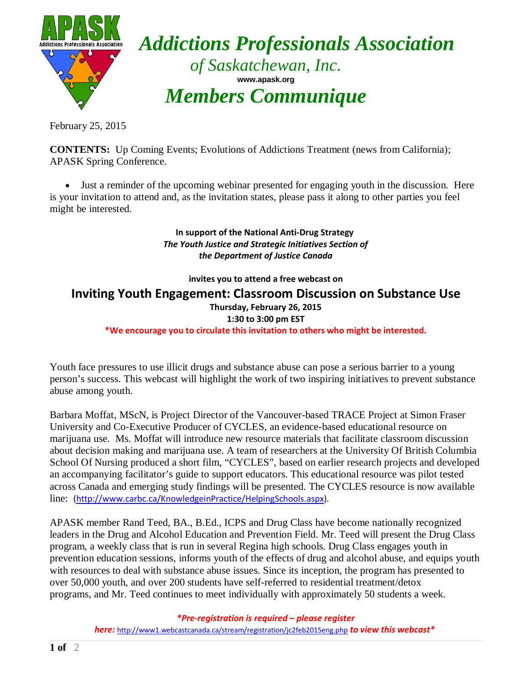

*Addictions Professionals Association of Saskatchewan, Inc.* **www.apask.org** *Members Communique*

February 25, 2015

**CONTENTS:** Up Coming Events; Evolutions of Addictions Treatment (news from California); APASK Spring Conference.

• Just a reminder of the upcoming webinar presented for engaging youth in the discussion. Here is your invitation to attend and, as the invitation states, please pass it along to other parties you feel might be interested.

> **In support of the National Anti-Drug Strategy** *The Youth Justice and Strategic Initiatives Section of the Department of Justice Canada*

> > **invites you to attend a free webcast on**

**Inviting Youth Engagement: Classroom Discussion on Substance Use**

**Thursday, February 26, 2015**

**1:30 to 3:00 pm EST**

**\*We encourage you to circulate this invitation to others who might be interested.**

Youth face pressures to use illicit drugs and substance abuse can pose a serious barrier to a young person's success. This webcast will highlight the work of two inspiring initiatives to prevent substance abuse among youth.

Barbara Moffat, MScN, is Project Director of the Vancouver-based TRACE Project at Simon Fraser University and Co-Executive Producer of CYCLES, an evidence-based educational resource on marijuana use. Ms. Moffat will introduce new resource materials that facilitate classroom discussion about decision making and marijuana use. A team of researchers at the University Of British Columbia School Of Nursing produced a short film, "CYCLES", based on earlier research projects and developed an accompanying facilitator's guide to support educators. This educational resource was pilot tested across Canada and emerging study findings will be presented. The CYCLES resource is now available line: [\(http://www.carbc.ca/KnowledgeinPractice/HelpingSchools.aspx\)](http://www.carbc.ca/KnowledgeinPractice/HelpingSchools.aspx).

APASK member Rand Teed, BA., B.Ed., ICPS and Drug Class have become nationally recognized leaders in the Drug and Alcohol Education and Prevention Field. Mr. Teed will present the Drug Class program, a weekly class that is run in several Regina high schools. Drug Class engages youth in prevention education sessions, informs youth of the effects of drug and alcohol abuse, and equips youth with resources to deal with substance abuse issues. Since its inception, the program has presented to over 50,000 youth, and over 200 students have self-referred to residential treatment/detox programs, and Mr. Teed continues to meet individually with approximately 50 students a week.

> *\*Pre-registration is required – please register here:* <http://www1.webcastcanada.ca/stream/registration/jc2feb2015eng.php> *to view this webcast\**